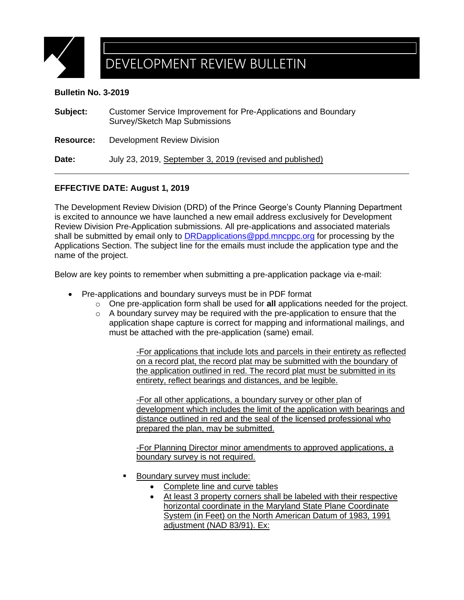

## DEVELOPMENT REVIEW BULLETIN

## **Bulletin No. 3-2019**

| Subject:         | Customer Service Improvement for Pre-Applications and Boundary<br>Survey/Sketch Map Submissions |
|------------------|-------------------------------------------------------------------------------------------------|
| <b>Resource:</b> | <b>Development Review Division</b>                                                              |
| Date:            | July 23, 2019, September 3, 2019 (revised and published)                                        |

## **EFFECTIVE DATE: August 1, 2019**

The Development Review Division (DRD) of the Prince George's County Planning Department is excited to announce we have launched a new email address exclusively for Development Review Division Pre-Application submissions. All pre-applications and associated materials shall be submitted by email only to [DRDapplications@ppd.mncppc.org](mailto:DRDapplications@ppd.mncppc.org) for processing by the Applications Section. The subject line for the emails must include the application type and the name of the project.

Below are key points to remember when submitting a pre-application package via e-mail:

- Pre-applications and boundary surveys must be in PDF format
	- o One pre-application form shall be used for **all** applications needed for the project.
	- $\circ$  A boundary survey may be required with the pre-application to ensure that the application shape capture is correct for mapping and informational mailings, and must be attached with the pre-application (same) email.

-For applications that include lots and parcels in their entirety as reflected on a record plat, the record plat may be submitted with the boundary of the application outlined in red. The record plat must be submitted in its entirety, reflect bearings and distances, and be legible.

-For all other applications, a boundary survey or other plan of development which includes the limit of the application with bearings and distance outlined in red and the seal of the licensed professional who prepared the plan, may be submitted.

-For Planning Director minor amendments to approved applications, a boundary survey is not required.

- **Boundary survey must include:** 
	- Complete line and curve tables
	- At least 3 property corners shall be labeled with their respective horizontal coordinate in the Maryland State Plane Coordinate System (in Feet) on the North American Datum of 1983, 1991 adjustment (NAD 83/91). Ex: